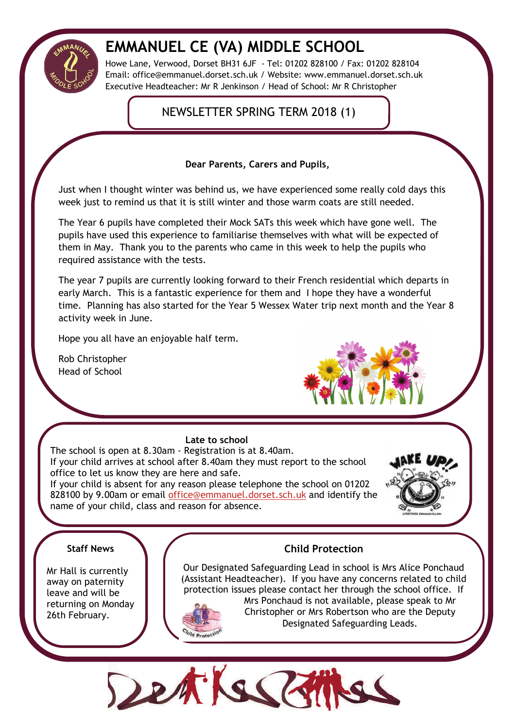

# **EMMANUEL CE (VA) MIDDLE SCHOOL**

Howe Lane, Verwood, Dorset BH31 6JF - Tel: 01202 828100 / Fax: 01202 828104 Email: office@emmanuel.dorset.sch.uk / Website: www.emmanuel.dorset.sch.uk Executive Headteacher: Mr R Jenkinson / Head of School: Mr R Christopher

# NEWSLETTER SPRING TERM 2018 (1)

**Dear Parents, Carers and Pupils,**

Just when I thought winter was behind us, we have experienced some really cold days this week just to remind us that it is still winter and those warm coats are still needed.

The Year 6 pupils have completed their Mock SATs this week which have gone well. The pupils have used this experience to familiarise themselves with what will be expected of them in May. Thank you to the parents who came in this week to help the pupils who required assistance with the tests.

The year 7 pupils are currently looking forward to their French residential which departs in early March. This is a fantastic experience for them and I hope they have a wonderful time. Planning has also started for the Year 5 Wessex Water trip next month and the Year 8 activity week in June.

Hope you all have an enjoyable half term.

Rob Christopher Head of School



# **Late to school**

The school is open at 8.30am - Registration is at 8.40am. If your child arrives at school after 8.40am they must report to the school office to let us know they are here and safe. If your child is absent for any reason please telephone the school on 01202 828100 by 9.00am or email [office@emmanuel.dorset.sch.uk](mailto:office@emmanuel.dorset.sch.uk) and identify the name of your child, class and reason for absence.



# **Staff News**

Mr Hall is currently away on paternity leave and will be returning on Monday 26th February.

# **Child Protection**

Our Designated Safeguarding Lead in school is Mrs Alice Ponchaud (Assistant Headteacher). If you have any concerns related to child protection issues please contact her through the school office. If



Mrs Ponchaud is not available, please speak to Mr Christopher or Mrs Robertson who are the Deputy Designated Safeguarding Leads.

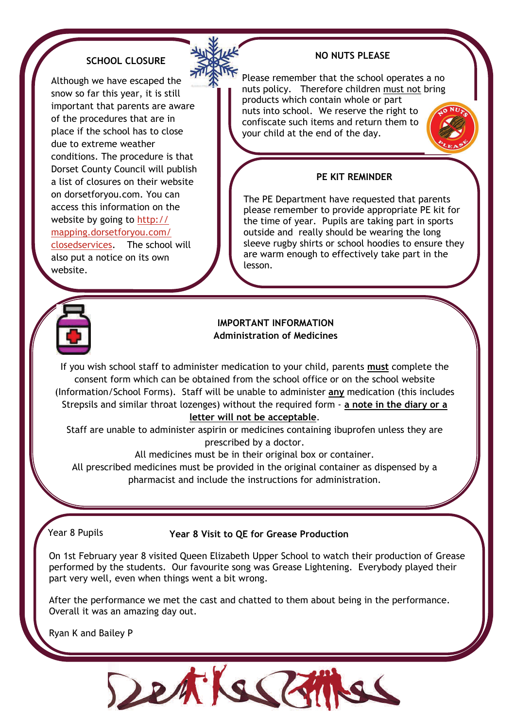# **SCHOOL CLOSURE**

Although we have escaped the snow so far this year, it is still important that parents are aware of the procedures that are in place if the school has to close due to extreme weather conditions. The procedure is that Dorset County Council will publish a list of closures on their website on dorsetforyou.com. You can access this information on the website by going to [http://](http://mapping.dorsetforyou.com/closedservices) [mapping.dorsetforyou.com/](http://mapping.dorsetforyou.com/closedservices) [closedservices](http://mapping.dorsetforyou.com/closedservices). The school will also put a notice on its own

# **NO NUTS PLEASE**

Please remember that the school operates a no nuts policy. Therefore children must not bring products which contain whole or part nuts into school. We reserve the right to confiscate such items and return them to your child at the end of the day.

### **PE KIT REMINDER**

The PE Department have requested that parents please remember to provide appropriate PE kit for the time of year. Pupils are taking part in sports outside and really should be wearing the long sleeve rugby shirts or school hoodies to ensure they are warm enough to effectively take part in the lesson.



website.

#### **IMPORTANT INFORMATION Administration of Medicines**

If you wish school staff to administer medication to your child, parents **must** complete the consent form which can be obtained from the school office or on the school website (Information/School Forms). Staff will be unable to administer **any** medication (this includes Strepsils and similar throat lozenges) without the required form - **a note in the diary or a letter will not be acceptable**.

Staff are unable to administer aspirin or medicines containing ibuprofen unless they are

prescribed by a doctor.

All medicines must be in their original box or container.

All prescribed medicines must be provided in the original container as dispensed by a pharmacist and include the instructions for administration.

# Year 8 Pupils **Year 8 Visit to QE for Grease Production**

On 1st February year 8 visited Queen Elizabeth Upper School to watch their production of Grease performed by the students. Our favourite song was Grease Lightening. Everybody played their part very well, even when things went a bit wrong.

After the performance we met the cast and chatted to them about being in the performance. Overall it was an amazing day out.

Ryan K and Bailey P

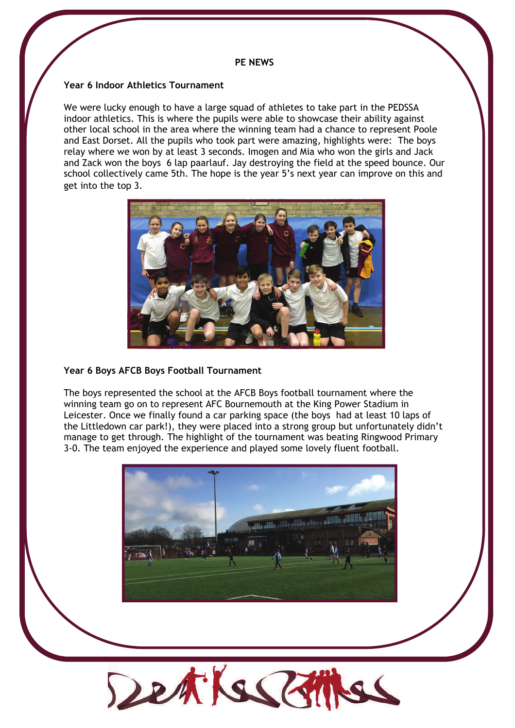#### **PE NEWS**

#### **Year 6 Indoor Athletics Tournament**

We were lucky enough to have a large squad of athletes to take part in the PEDSSA indoor athletics. This is where the pupils were able to showcase their ability against other local school in the area where the winning team had a chance to represent Poole and East Dorset. All the pupils who took part were amazing, highlights were: The boys relay where we won by at least 3 seconds. Imogen and Mia who won the girls and Jack and Zack won the boys 6 lap paarlauf. Jay destroying the field at the speed bounce. Our school collectively came 5th. The hope is the year 5's next year can improve on this and get into the top 3.



#### **Year 6 Boys AFCB Boys Football Tournament**

The boys represented the school at the AFCB Boys football tournament where the winning team go on to represent AFC Bournemouth at the King Power Stadium in Leicester. Once we finally found a car parking space (the boys had at least 10 laps of the Littledown car park!), they were placed into a strong group but unfortunately didn't manage to get through. The highlight of the tournament was beating Ringwood Primary 3-0. The team enjoyed the experience and played some lovely fluent football.



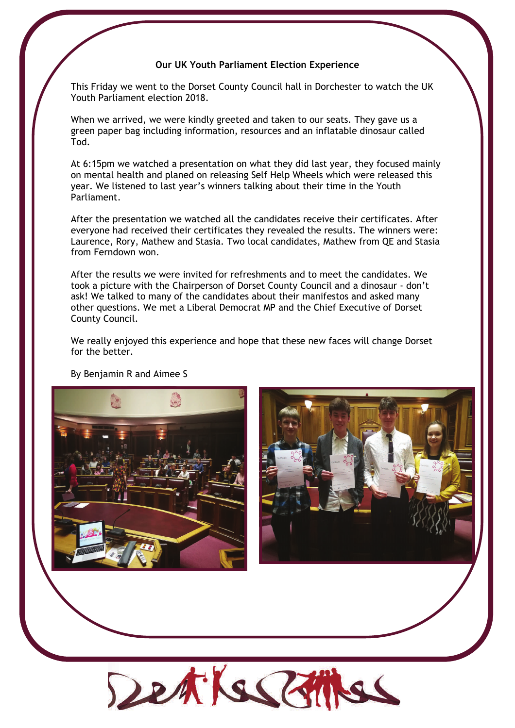#### **Our UK Youth Parliament Election Experience**

This Friday we went to the Dorset County Council hall in Dorchester to watch the UK Youth Parliament election 2018.

When we arrived, we were kindly greeted and taken to our seats. They gave us a green paper bag including information, resources and an inflatable dinosaur called Tod.

At 6:15pm we watched a presentation on what they did last year, they focused mainly on mental health and planed on releasing Self Help Wheels which were released this year. We listened to last year's winners talking about their time in the Youth Parliament.

After the presentation we watched all the candidates receive their certificates. After everyone had received their certificates they revealed the results. The winners were: Laurence, Rory, Mathew and Stasia. Two local candidates, Mathew from QE and Stasia from Ferndown won.

After the results we were invited for refreshments and to meet the candidates. We took a picture with the Chairperson of Dorset County Council and a dinosaur - don't ask! We talked to many of the candidates about their manifestos and asked many other questions. We met a Liberal Democrat MP and the Chief Executive of Dorset County Council.

We really enjoyed this experience and hope that these new faces will change Dorset for the better.

By Benjamin R and Aimee S





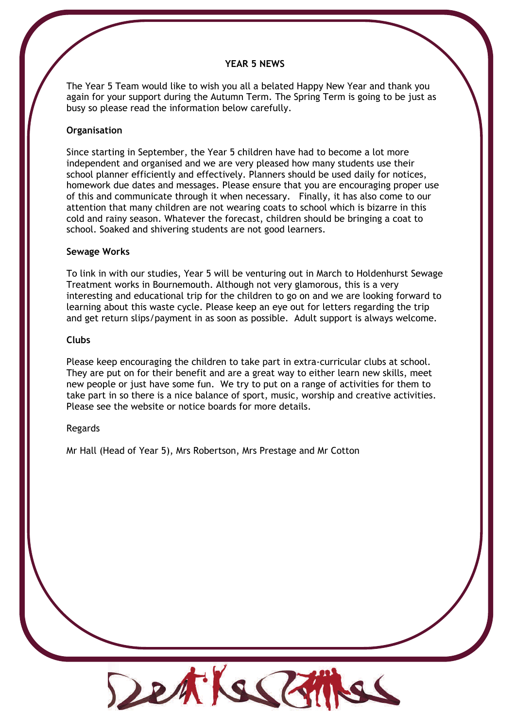#### **YEAR 5 NEWS**

The Year 5 Team would like to wish you all a belated Happy New Year and thank you again for your support during the Autumn Term. The Spring Term is going to be just as busy so please read the information below carefully.

#### **Organisation**

Since starting in September, the Year 5 children have had to become a lot more independent and organised and we are very pleased how many students use their school planner efficiently and effectively. Planners should be used daily for notices, homework due dates and messages. Please ensure that you are encouraging proper use of this and communicate through it when necessary. Finally, it has also come to our attention that many children are not wearing coats to school which is bizarre in this cold and rainy season. Whatever the forecast, children should be bringing a coat to school. Soaked and shivering students are not good learners.

#### **Sewage Works**

To link in with our studies, Year 5 will be venturing out in March to Holdenhurst Sewage Treatment works in Bournemouth. Although not very glamorous, this is a very interesting and educational trip for the children to go on and we are looking forward to learning about this waste cycle. Please keep an eye out for letters regarding the trip and get return slips/payment in as soon as possible. Adult support is always welcome.

#### **Clubs**

Please keep encouraging the children to take part in extra-curricular clubs at school. They are put on for their benefit and are a great way to either learn new skills, meet new people or just have some fun. We try to put on a range of activities for them to take part in so there is a nice balance of sport, music, worship and creative activities. Please see the website or notice boards for more details.

#### Regards

Mr Hall (Head of Year 5), Mrs Robertson, Mrs Prestage and Mr Cotton

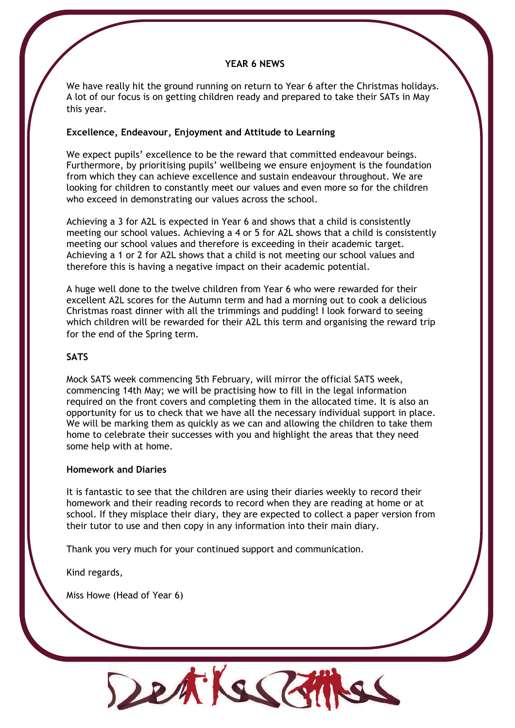#### **YEAR 6 NEWS**

We have really hit the ground running on return to Year 6 after the Christmas holidays. A lot of our focus is on getting children ready and prepared to take their SATs in May this year.

#### **Excellence, Endeavour, Enjoyment and Attitude to Learning**

We expect pupils' excellence to be the reward that committed endeavour beings. Furthermore, by prioritising pupils' wellbeing we ensure enjoyment is the foundation from which they can achieve excellence and sustain endeavour throughout. We are looking for children to constantly meet our values and even more so for the children who exceed in demonstrating our values across the school.

Achieving a 3 for A2L is expected in Year 6 and shows that a child is consistently meeting our school values. Achieving a 4 or 5 for A2L shows that a child is consistently meeting our school values and therefore is exceeding in their academic target. Achieving a 1 or 2 for A2L shows that a child is not meeting our school values and therefore this is having a negative impact on their academic potential.

A huge well done to the twelve children from Year 6 who were rewarded for their excellent A2L scores for the Autumn term and had a morning out to cook a delicious Christmas roast dinner with all the trimmings and pudding! I look forward to seeing which children will be rewarded for their A2L this term and organising the reward trip for the end of the Spring term.

#### **SATS**

Mock SATS week commencing 5th February, will mirror the official SATS week, commencing 14th May; we will be practising how to fill in the legal information required on the front covers and completing them in the allocated time. It is also an opportunity for us to check that we have all the necessary individual support in place. We will be marking them as quickly as we can and allowing the children to take them home to celebrate their successes with you and highlight the areas that they need some help with at home.

#### **Homework and Diaries**

It is fantastic to see that the children are using their diaries weekly to record their homework and their reading records to record when they are reading at home or at school. If they misplace their diary, they are expected to collect a paper version from their tutor to use and then copy in any information into their main diary.

Thank you very much for your continued support and communication.

Kind regards,

Miss Howe (Head of Year 6)

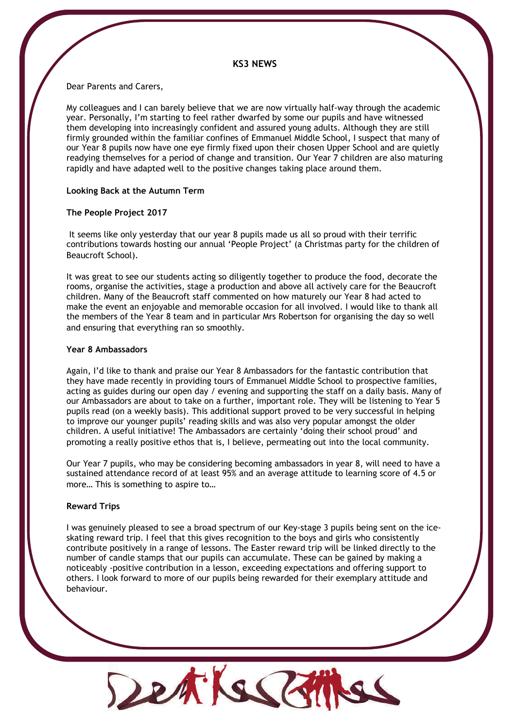#### **KS3 NEWS**

Dear Parents and Carers,

My colleagues and I can barely believe that we are now virtually half-way through the academic year. Personally, I'm starting to feel rather dwarfed by some our pupils and have witnessed them developing into increasingly confident and assured young adults. Although they are still firmly grounded within the familiar confines of Emmanuel Middle School, I suspect that many of our Year 8 pupils now have one eye firmly fixed upon their chosen Upper School and are quietly readying themselves for a period of change and transition. Our Year 7 children are also maturing rapidly and have adapted well to the positive changes taking place around them.

#### **Looking Back at the Autumn Term**

#### **The People Project 2017**

 It seems like only yesterday that our year 8 pupils made us all so proud with their terrific contributions towards hosting our annual 'People Project' (a Christmas party for the children of Beaucroft School).

It was great to see our students acting so diligently together to produce the food, decorate the rooms, organise the activities, stage a production and above all actively care for the Beaucroft children. Many of the Beaucroft staff commented on how maturely our Year 8 had acted to make the event an enjoyable and memorable occasion for all involved. I would like to thank all the members of the Year 8 team and in particular Mrs Robertson for organising the day so well and ensuring that everything ran so smoothly.

#### **Year 8 Ambassadors**

Again, I'd like to thank and praise our Year 8 Ambassadors for the fantastic contribution that they have made recently in providing tours of Emmanuel Middle School to prospective families, acting as guides during our open day / evening and supporting the staff on a daily basis. Many of our Ambassadors are about to take on a further, important role. They will be listening to Year 5 pupils read (on a weekly basis). This additional support proved to be very successful in helping to improve our younger pupils' reading skills and was also very popular amongst the older children. A useful initiative! The Ambassadors are certainly 'doing their school proud' and promoting a really positive ethos that is, I believe, permeating out into the local community.

Our Year 7 pupils, who may be considering becoming ambassadors in year 8, will need to have a sustained attendance record of at least 95% and an average attitude to learning score of 4.5 or more… This is something to aspire to…

#### **Reward Trips**

I was genuinely pleased to see a broad spectrum of our Key-stage 3 pupils being sent on the iceskating reward trip. I feel that this gives recognition to the boys and girls who consistently contribute positively in a range of lessons. The Easter reward trip will be linked directly to the number of candle stamps that our pupils can accumulate. These can be gained by making a noticeably -positive contribution in a lesson, exceeding expectations and offering support to others. I look forward to more of our pupils being rewarded for their exemplary attitude and behaviour.

Detikel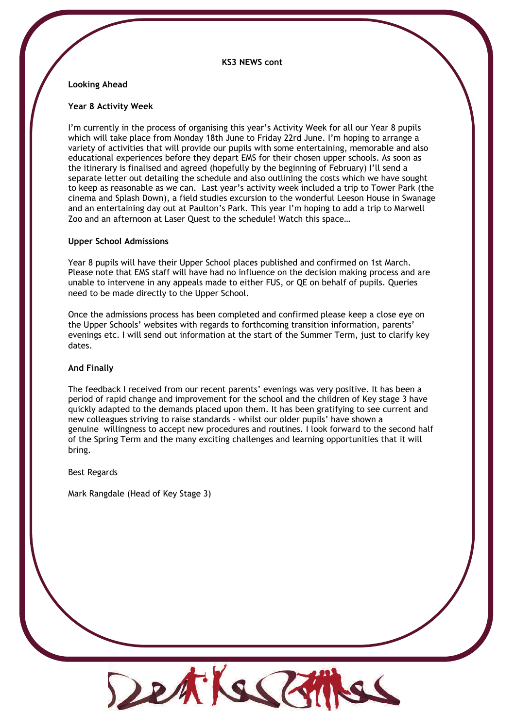#### **KS3 NEWS cont**

#### **Looking Ahead**

#### **Year 8 Activity Week**

I'm currently in the process of organising this year's Activity Week for all our Year 8 pupils which will take place from Monday 18th June to Friday 22rd June. I'm hoping to arrange a variety of activities that will provide our pupils with some entertaining, memorable and also educational experiences before they depart EMS for their chosen upper schools. As soon as the itinerary is finalised and agreed (hopefully by the beginning of February) I'll send a separate letter out detailing the schedule and also outlining the costs which we have sought to keep as reasonable as we can. Last year's activity week included a trip to Tower Park (the cinema and Splash Down), a field studies excursion to the wonderful Leeson House in Swanage and an entertaining day out at Paulton's Park. This year I'm hoping to add a trip to Marwell Zoo and an afternoon at Laser Quest to the schedule! Watch this space…

#### **Upper School Admissions**

Year 8 pupils will have their Upper School places published and confirmed on 1st March. Please note that EMS staff will have had no influence on the decision making process and are unable to intervene in any appeals made to either FUS, or QE on behalf of pupils. Queries need to be made directly to the Upper School.

Once the admissions process has been completed and confirmed please keep a close eye on the Upper Schools' websites with regards to forthcoming transition information, parents' evenings etc. I will send out information at the start of the Summer Term, just to clarify key dates.

#### **And Finally**

The feedback I received from our recent parents' evenings was very positive. It has been a period of rapid change and improvement for the school and the children of Key stage 3 have quickly adapted to the demands placed upon them. It has been gratifying to see current and new colleagues striving to raise standards - whilst our older pupils' have shown a genuine willingness to accept new procedures and routines. I look forward to the second half of the Spring Term and the many exciting challenges and learning opportunities that it will bring.

Best Regards

Mark Rangdale (Head of Key Stage 3)